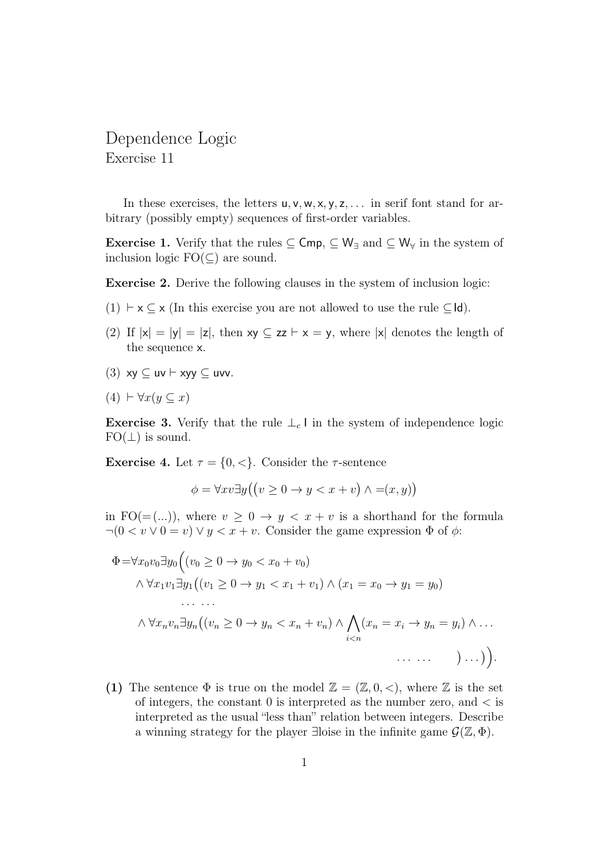## Dependence Logic Exercise 11

In these exercises, the letters  $u, v, w, x, y, z, \ldots$  in serif font stand for arbitrary (possibly empty) sequences of first-order variables.

**Exercise 1.** Verify that the rules  $\subset \mathsf{Cmp}$ ,  $\subset \mathsf{W}_{\exists}$  and  $\subset \mathsf{W}_{\forall}$  in the system of inclusion logic  $FO(\subset)$  are sound.

Exercise 2. Derive the following clauses in the system of inclusion logic:

- (1)  $\vdash$  x  $\subset$  x (In this exercise you are not allowed to use the rule  $\subset$ Id).
- (2) If  $|x| = |y| = |z|$ , then  $xy \subseteq zz \vdash x = y$ , where  $|x|$  denotes the length of the sequence x.
- (3)  $xy \subseteq uv \vdash xyy \subseteq uvv$ .
- $(4) \vdash \forall x (y \subseteq x)$

**Exercise 3.** Verify that the rule  $\perp_c \mathsf{l}$  in the system of independence logic  $FO(\perp)$  is sound.

**Exercise 4.** Let  $\tau = \{0, \leq\}$ . Consider the  $\tau$ -sentence

$$
\phi = \forall xv \exists y ((v \ge 0 \to y < x + v) \land = (x, y))
$$

in FO(=(...)), where  $v \geq 0 \rightarrow y < x + v$  is a shorthand for the formula  $\neg(0 < v \lor 0 = v) \lor y < x + v$ . Consider the game expression  $\Phi$  of  $\phi$ :

Φ=∀x0v0∃y<sup>0</sup> (v<sup>0</sup> ≥ 0 → y<sup>0</sup> < x<sup>0</sup> + v0) ∧ ∀x1v1∃y<sup>1</sup> (v<sup>1</sup> ≥ 0 → y<sup>1</sup> < x<sup>1</sup> + v1) ∧ (x<sup>1</sup> = x<sup>0</sup> → y<sup>1</sup> = y0) . . . . . . ∧ ∀xnvn∃y<sup>n</sup> (v<sup>n</sup> ≥ 0 → y<sup>n</sup> < x<sup>n</sup> + vn) ∧ ^ i<n (x<sup>n</sup> = x<sup>i</sup> → y<sup>n</sup> = yi) ∧ . . . . . . . . . . . . .

(1) The sentence  $\Phi$  is true on the model  $\mathbb{Z} = (\mathbb{Z}, 0, <)$ , where  $\mathbb Z$  is the set of integers, the constant  $0$  is interpreted as the number zero, and  $\lt$  is interpreted as the usual "less than" relation between integers. Describe a winning strategy for the player ∃loise in the infinite game  $\mathcal{G}(\mathbb{Z}, \Phi)$ .